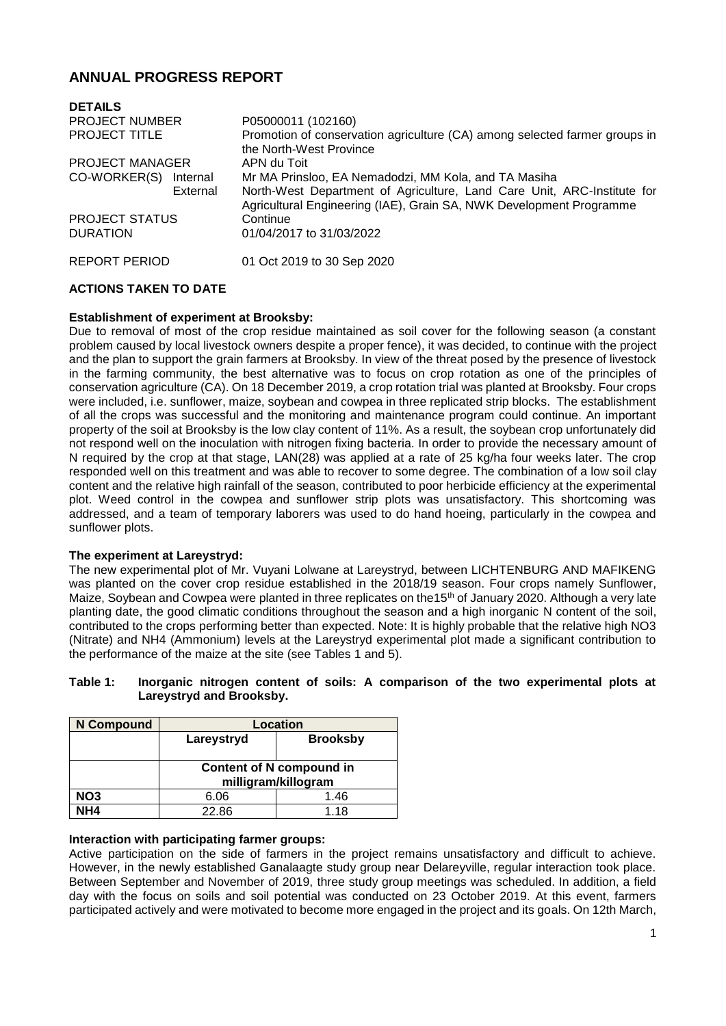# **ANNUAL PROGRESS REPORT**

| <b>DETAILS</b>           |                                                                                                                                                |
|--------------------------|------------------------------------------------------------------------------------------------------------------------------------------------|
| <b>PROJECT NUMBER</b>    | P05000011 (102160)                                                                                                                             |
| <b>PROJECT TITLE</b>     | Promotion of conservation agriculture (CA) among selected farmer groups in<br>the North-West Province                                          |
| <b>PROJECT MANAGER</b>   | APN du Toit                                                                                                                                    |
| CO-WORKER(S)<br>Internal | Mr MA Prinsloo, EA Nemadodzi, MM Kola, and TA Masiha                                                                                           |
| External                 | North-West Department of Agriculture, Land Care Unit, ARC-Institute for<br>Agricultural Engineering (IAE), Grain SA, NWK Development Programme |
| <b>PROJECT STATUS</b>    | Continue                                                                                                                                       |
| <b>DURATION</b>          | 01/04/2017 to 31/03/2022                                                                                                                       |
| REPORT PERIOD            | 01 Oct 2019 to 30 Sep 2020                                                                                                                     |

# **ACTIONS TAKEN TO DATE**

### **Establishment of experiment at Brooksby:**

Due to removal of most of the crop residue maintained as soil cover for the following season (a constant problem caused by local livestock owners despite a proper fence), it was decided, to continue with the project and the plan to support the grain farmers at Brooksby. In view of the threat posed by the presence of livestock in the farming community, the best alternative was to focus on crop rotation as one of the principles of conservation agriculture (CA). On 18 December 2019, a crop rotation trial was planted at Brooksby. Four crops were included, i.e. sunflower, maize, soybean and cowpea in three replicated strip blocks. The establishment of all the crops was successful and the monitoring and maintenance program could continue. An important property of the soil at Brooksby is the low clay content of 11%. As a result, the soybean crop unfortunately did not respond well on the inoculation with nitrogen fixing bacteria. In order to provide the necessary amount of N required by the crop at that stage, LAN(28) was applied at a rate of 25 kg/ha four weeks later. The crop responded well on this treatment and was able to recover to some degree. The combination of a low soil clay content and the relative high rainfall of the season, contributed to poor herbicide efficiency at the experimental plot. Weed control in the cowpea and sunflower strip plots was unsatisfactory. This shortcoming was addressed, and a team of temporary laborers was used to do hand hoeing, particularly in the cowpea and sunflower plots.

### **The experiment at Lareystryd:**

The new experimental plot of Mr. Vuyani Lolwane at Lareystryd, between LICHTENBURG AND MAFIKENG was planted on the cover crop residue established in the 2018/19 season. Four crops namely Sunflower, Maize, Soybean and Cowpea were planted in three replicates on the15<sup>th</sup> of January 2020. Although a very late planting date, the good climatic conditions throughout the season and a high inorganic N content of the soil, contributed to the crops performing better than expected. Note: It is highly probable that the relative high NO3 (Nitrate) and NH4 (Ammonium) levels at the Lareystryd experimental plot made a significant contribution to the performance of the maize at the site (see Tables 1 and 5).

### **Table 1: Inorganic nitrogen content of soils: A comparison of the two experimental plots at Lareystryd and Brooksby.**

| N Compound      | Location                                               |                 |  |  |  |
|-----------------|--------------------------------------------------------|-----------------|--|--|--|
|                 | Lareystryd                                             | <b>Brooksby</b> |  |  |  |
|                 | <b>Content of N compound in</b><br>milligram/killogram |                 |  |  |  |
| NO <sub>3</sub> | 6.06                                                   | 1.46            |  |  |  |
| NH4             | 22.86                                                  | 1.18            |  |  |  |

### **Interaction with participating farmer groups:**

Active participation on the side of farmers in the project remains unsatisfactory and difficult to achieve. However, in the newly established Ganalaagte study group near Delareyville, regular interaction took place. Between September and November of 2019, three study group meetings was scheduled. In addition, a field day with the focus on soils and soil potential was conducted on 23 October 2019. At this event, farmers participated actively and were motivated to become more engaged in the project and its goals. On 12th March,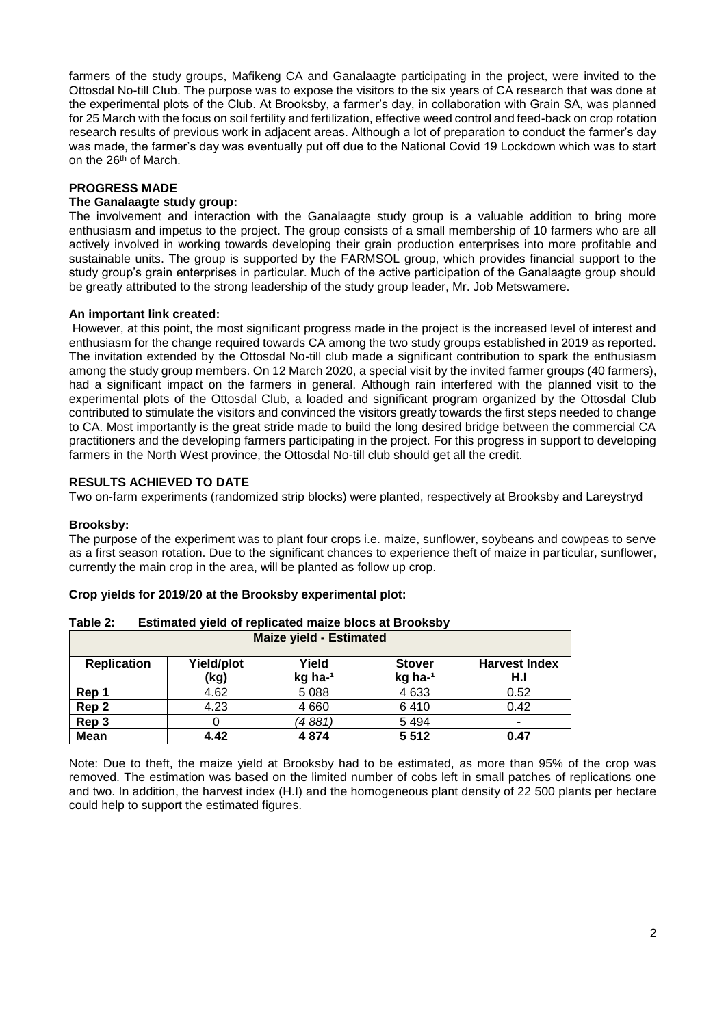farmers of the study groups, Mafikeng CA and Ganalaagte participating in the project, were invited to the Ottosdal No-till Club. The purpose was to expose the visitors to the six years of CA research that was done at the experimental plots of the Club. At Brooksby, a farmer's day, in collaboration with Grain SA, was planned for 25 March with the focus on soil fertility and fertilization, effective weed control and feed-back on crop rotation research results of previous work in adjacent areas. Although a lot of preparation to conduct the farmer's day was made, the farmer's day was eventually put off due to the National Covid 19 Lockdown which was to start on the 26th of March.

## **PROGRESS MADE**

### **The Ganalaagte study group:**

The involvement and interaction with the Ganalaagte study group is a valuable addition to bring more enthusiasm and impetus to the project. The group consists of a small membership of 10 farmers who are all actively involved in working towards developing their grain production enterprises into more profitable and sustainable units. The group is supported by the FARMSOL group, which provides financial support to the study group's grain enterprises in particular. Much of the active participation of the Ganalaagte group should be greatly attributed to the strong leadership of the study group leader, Mr. Job Metswamere.

### **An important link created:**

However, at this point, the most significant progress made in the project is the increased level of interest and enthusiasm for the change required towards CA among the two study groups established in 2019 as reported. The invitation extended by the Ottosdal No-till club made a significant contribution to spark the enthusiasm among the study group members. On 12 March 2020, a special visit by the invited farmer groups (40 farmers), had a significant impact on the farmers in general. Although rain interfered with the planned visit to the experimental plots of the Ottosdal Club, a loaded and significant program organized by the Ottosdal Club contributed to stimulate the visitors and convinced the visitors greatly towards the first steps needed to change to CA. Most importantly is the great stride made to build the long desired bridge between the commercial CA practitioners and the developing farmers participating in the project. For this progress in support to developing farmers in the North West province, the Ottosdal No-till club should get all the credit.

# **RESULTS ACHIEVED TO DATE**

Two on-farm experiments (randomized strip blocks) were planted, respectively at Brooksby and Lareystryd

### **Brooksby:**

The purpose of the experiment was to plant four crops i.e. maize, sunflower, soybeans and cowpeas to serve as a first season rotation. Due to the significant chances to experience theft of maize in particular, sunflower, currently the main crop in the area, will be planted as follow up crop.

| Table 2:                                                                                                                   | Estimated yield of replicated maize blocs at Brooksby |      |         |         |      |
|----------------------------------------------------------------------------------------------------------------------------|-------------------------------------------------------|------|---------|---------|------|
|                                                                                                                            | <b>Maize yield - Estimated</b>                        |      |         |         |      |
| Yield/plot<br>Yield<br><b>Replication</b><br><b>Harvest Index</b><br><b>Stover</b><br>kg ha-1<br>kg ha- $1$<br>(kg)<br>H.I |                                                       |      |         |         |      |
| Rep 1                                                                                                                      |                                                       | 4.62 | 5 0 8 8 | 4 6 3 3 | 0.52 |
| Rep <sub>2</sub>                                                                                                           |                                                       | 4.23 | 4 6 6 0 | 6410    | 0.42 |
| Rep 3                                                                                                                      |                                                       | 0    | (4 881) | 5494    | ٠    |
| <b>Mean</b>                                                                                                                |                                                       | 4.42 | 4874    | 5512    | 0.47 |

### **Crop yields for 2019/20 at the Brooksby experimental plot:**

Note: Due to theft, the maize yield at Brooksby had to be estimated, as more than 95% of the crop was removed. The estimation was based on the limited number of cobs left in small patches of replications one and two. In addition, the harvest index (H.I) and the homogeneous plant density of 22 500 plants per hectare could help to support the estimated figures.

2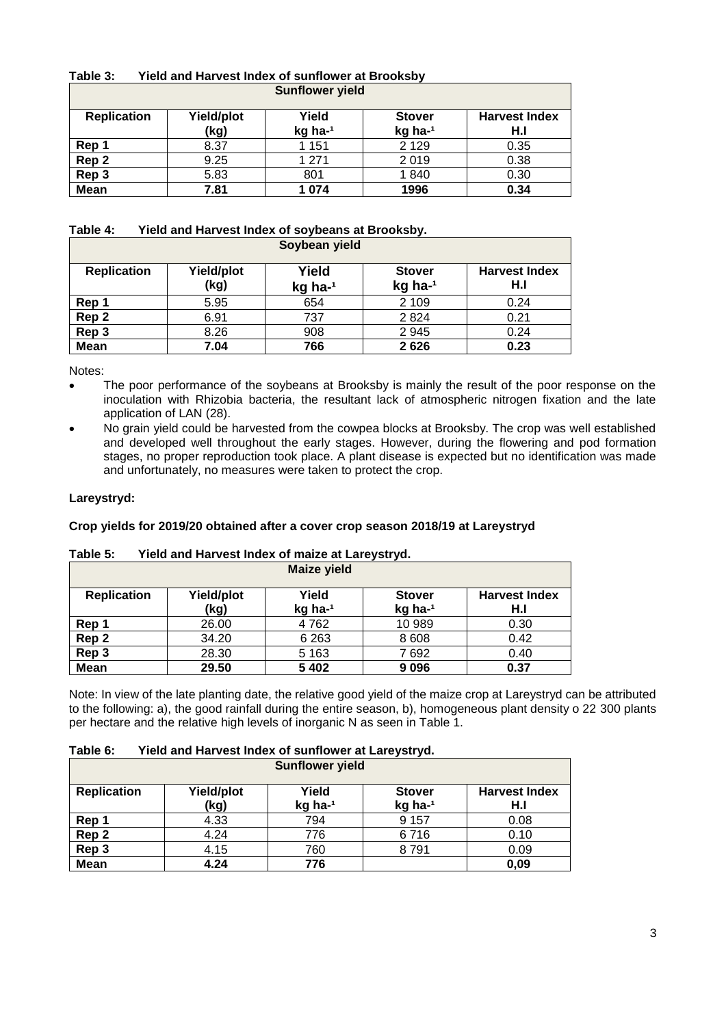| Table 3:           | Yield and Harvest Index of Sunflower at Brooksby |         |               |                      |  |
|--------------------|--------------------------------------------------|---------|---------------|----------------------|--|
|                    | <b>Sunflower yield</b>                           |         |               |                      |  |
|                    |                                                  |         |               |                      |  |
| <b>Replication</b> | Yield/plot                                       | Yield   | <b>Stover</b> | <b>Harvest Index</b> |  |
|                    | kg ha-1<br>kg ha-1<br>(kg)<br>H.I                |         |               |                      |  |
| Rep 1              | 8.37                                             | 1 1 5 1 | 2 1 2 9       | 0.35                 |  |
| Rep 2              | 9.25                                             | 1 2 7 1 | 2019          | 0.38                 |  |
| Rep 3              | 5.83                                             | 801     | 1840          | 0.30                 |  |
| <b>Mean</b>        | 7.81                                             | 1 0 7 4 | 1996          | 0.34                 |  |

# **Table 3: Yield and Harvest Index of sunflower at Brooksby**

#### **Table 4: Yield and Harvest Index of soybeans at Brooksby. Soybean yield**

| <b>OUVUCALL VICIU</b> |                    |                    |                          |                             |
|-----------------------|--------------------|--------------------|--------------------------|-----------------------------|
| <b>Replication</b>    | Yield/plot<br>(kg) | Yield<br>$kg$ ha-1 | <b>Stover</b><br>kg ha-1 | <b>Harvest Index</b><br>H.I |
| Rep 1                 | 5.95               | 654                | 2 1 0 9                  | 0.24                        |
| Rep <sub>2</sub>      | 6.91               | 737                | 2824                     | 0.21                        |
| Rep 3                 | 8.26               | 908                | 2945                     | 0.24                        |
| Mean                  | 7.04               | 766                | 2626                     | 0.23                        |

Notes:

- The poor performance of the soybeans at Brooksby is mainly the result of the poor response on the inoculation with Rhizobia bacteria, the resultant lack of atmospheric nitrogen fixation and the late application of LAN (28).
- No grain yield could be harvested from the cowpea blocks at Brooksby. The crop was well established and developed well throughout the early stages. However, during the flowering and pod formation stages, no proper reproduction took place. A plant disease is expected but no identification was made and unfortunately, no measures were taken to protect the crop.

# **Lareystryd:**

# **Crop yields for 2019/20 obtained after a cover crop season 2018/19 at Lareystryd**

| <b>Maize yield</b> |                    |                  |                          |                             |
|--------------------|--------------------|------------------|--------------------------|-----------------------------|
| <b>Replication</b> | Yield/plot<br>(kg) | Yield<br>kg ha-1 | <b>Stover</b><br>kg ha-1 | <b>Harvest Index</b><br>H.I |
| Rep 1              | 26.00              | 4762             | 10 989                   | 0.30                        |
| Rep <sub>2</sub>   | 34.20              | 6 2 6 3          | 8 6 0 8                  | 0.42                        |
| Rep 3              | 28.30              | 5 1 6 3          | 7692                     | 0.40                        |
| <b>Mean</b>        | 29.50              | 5 4 0 2          | 9096                     | 0.37                        |

# **Table 5: Yield and Harvest Index of maize at Lareystryd.**

Note: In view of the late planting date, the relative good yield of the maize crop at Lareystryd can be attributed to the following: a), the good rainfall during the entire season, b), homogeneous plant density o 22 300 plants per hectare and the relative high levels of inorganic N as seen in Table 1.

# **Table 6: Yield and Harvest Index of sunflower at Lareystryd.**

| <b>Sunflower yield</b> |                    |                  |                          |                             |
|------------------------|--------------------|------------------|--------------------------|-----------------------------|
| <b>Replication</b>     | Yield/plot<br>(kg) | Yield<br>kg ha-1 | <b>Stover</b><br>kg ha-1 | <b>Harvest Index</b><br>H.I |
| Rep 1                  | 4.33               | 794              | 9 1 5 7                  | 0.08                        |
| Rep 2                  | 4.24               | 776              | 6716                     | 0.10                        |
| Rep 3                  | 4.15               | 760              | 8791                     | 0.09                        |
| <b>Mean</b>            | 4.24               | 776              |                          | 0,09                        |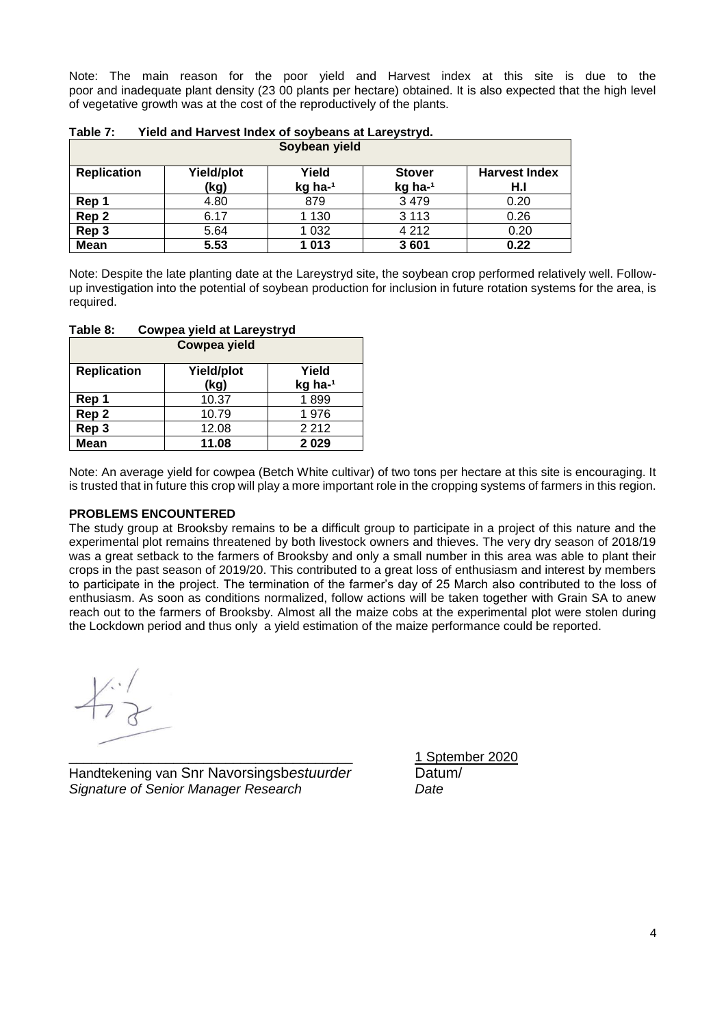Note: The main reason for the poor yield and Harvest index at this site is due to the poor and inadequate plant density (23 00 plants per hectare) obtained. It is also expected that the high level of vegetative growth was at the cost of the reproductively of the plants.

| Soybean yield      |                    |                  |                          |                             |
|--------------------|--------------------|------------------|--------------------------|-----------------------------|
| <b>Replication</b> | Yield/plot<br>(kg) | Yield<br>kg ha-1 | <b>Stover</b><br>kg ha-1 | <b>Harvest Index</b><br>H.I |
| Rep 1              | 4.80               | 879              | 3479                     | 0.20                        |
| Rep 2              | 6.17               | 1 1 3 0          | 3 1 1 3                  | 0.26                        |
| Rep 3              | 5.64               | 1 032            | 4 2 1 2                  | 0.20                        |
| <b>Mean</b>        | 5.53               | 1013             | 3601                     | 0.22                        |

| Table 7: | Yield and Harvest Index of soybeans at Lareystryd. |
|----------|----------------------------------------------------|
|----------|----------------------------------------------------|

Note: Despite the late planting date at the Lareystryd site, the soybean crop performed relatively well. Followup investigation into the potential of soybean production for inclusion in future rotation systems for the area, is required.

| <b>Cowpea yield</b> |                           |                  |  |  |
|---------------------|---------------------------|------------------|--|--|
| <b>Replication</b>  | <b>Yield/plot</b><br>(kg) | Yield<br>kg ha-1 |  |  |
| Rep 1               | 10.37                     | 1899             |  |  |
| Rep 2               | 10.79                     | 1976             |  |  |
| Rep 3               | 12.08                     | 2 2 1 2          |  |  |
| Mean                | 11.08                     | 2029             |  |  |

# **Table 8: Cowpea yield at Lareystryd**

Note: An average yield for cowpea (Betch White cultivar) of two tons per hectare at this site is encouraging. It is trusted that in future this crop will play a more important role in the cropping systems of farmers in this region.

# **PROBLEMS ENCOUNTERED**

The study group at Brooksby remains to be a difficult group to participate in a project of this nature and the experimental plot remains threatened by both livestock owners and thieves. The very dry season of 2018/19 was a great setback to the farmers of Brooksby and only a small number in this area was able to plant their crops in the past season of 2019/20. This contributed to a great loss of enthusiasm and interest by members to participate in the project. The termination of the farmer's day of 25 March also contributed to the loss of enthusiasm. As soon as conditions normalized, follow actions will be taken together with Grain SA to anew reach out to the farmers of Brooksby. Almost all the maize cobs at the experimental plot were stolen during the Lockdown period and thus only a yield estimation of the maize performance could be reported.

Handtekening van Snr Navorsingsb*estuurder* Datum/ *Signature of Senior Manager Research Date*

\_\_\_\_\_\_\_\_\_\_\_\_\_\_\_\_\_\_\_\_\_\_\_\_\_\_\_\_\_\_\_\_\_\_\_\_\_\_ 1 Sptember 2020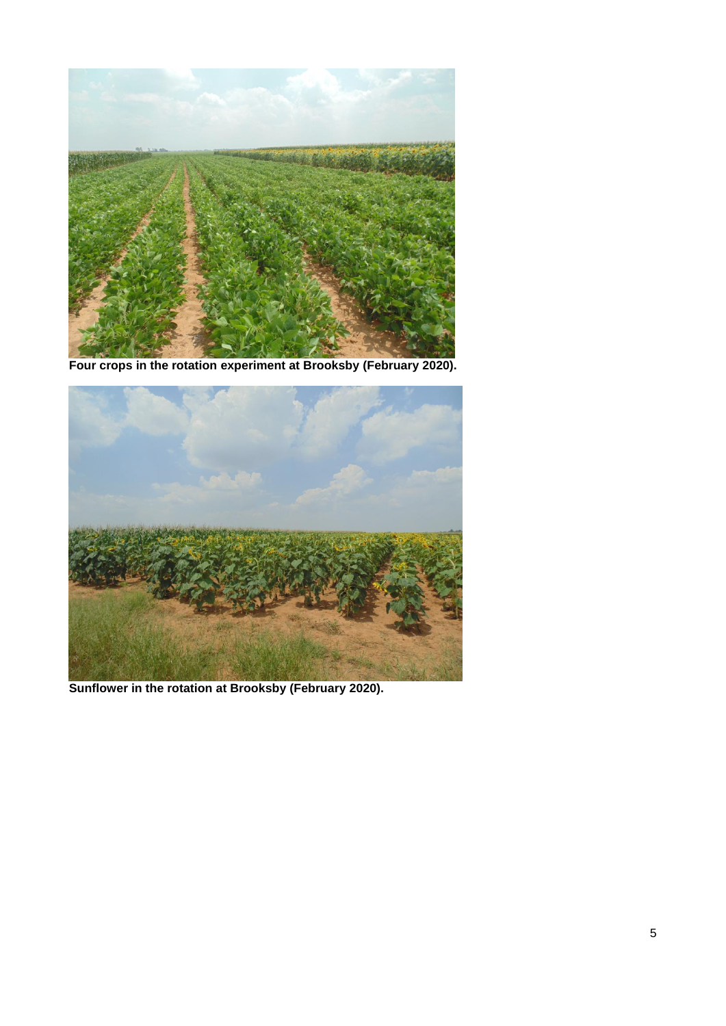

**Four crops in the rotation experiment at Brooksby (February 2020).**



**Sunflower in the rotation at Brooksby (February 2020).**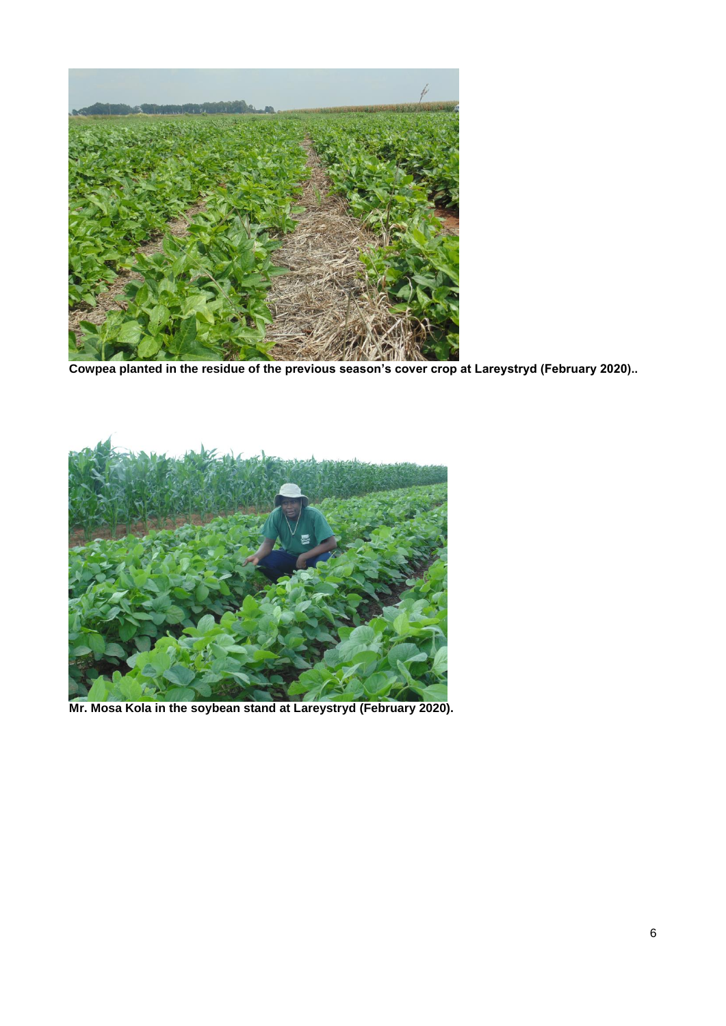

**Cowpea planted in the residue of the previous season's cover crop at Lareystryd (February 2020)..**



**Mr. Mosa Kola in the soybean stand at Lareystryd (February 2020).**